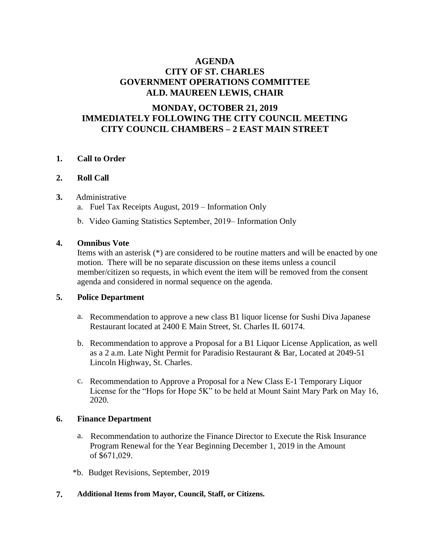# **AGENDA CITY OF ST. CHARLES GOVERNMENT OPERATIONS COMMITTEE ALD. MAUREEN LEWIS, CHAIR**

# **MONDAY, OCTOBER 21, 2019 IMMEDIATELY FOLLOWING THE CITY COUNCIL MEETING CITY COUNCIL CHAMBERS – 2 EAST MAIN STREET**

## **1. Call to Order**

## **2. Roll Call**

## **3.** Administrative

- a. Fuel Tax Receipts August, 2019 Information Only
- b. Video Gaming Statistics September, 2019– Information Only

## **4. Omnibus Vote**

Items with an asterisk (\*) are considered to be routine matters and will be enacted by one motion. There will be no separate discussion on these items unless a council member/citizen so requests, in which event the item will be removed from the consent agenda and considered in normal sequence on the agenda.

## **5. Police Department**

- a. Recommendation to approve a new class B1 liquor license for Sushi Diva Japanese Restaurant located at 2400 E Main Street, St. Charles IL 60174.
- b. Recommendation to approve a Proposal for a B1 Liquor License Application, as well as a 2 a.m. Late Night Permit for Paradisio Restaurant & Bar, Located at 2049-51 Lincoln Highway, St. Charles.
- c. Recommendation to Approve a Proposal for a New Class E-1 Temporary Liquor License for the "Hops for Hope 5K" to be held at Mount Saint Mary Park on May 16, 2020.

## **6. Finance Department**

- a. Recommendation to authorize the Finance Director to Execute the Risk Insurance Program Renewal for the Year Beginning December 1, 2019 in the Amount of \$671,029.
- \*b. Budget Revisions, September, 2019
- **7. Additional Items from Mayor, Council, Staff, or Citizens.**